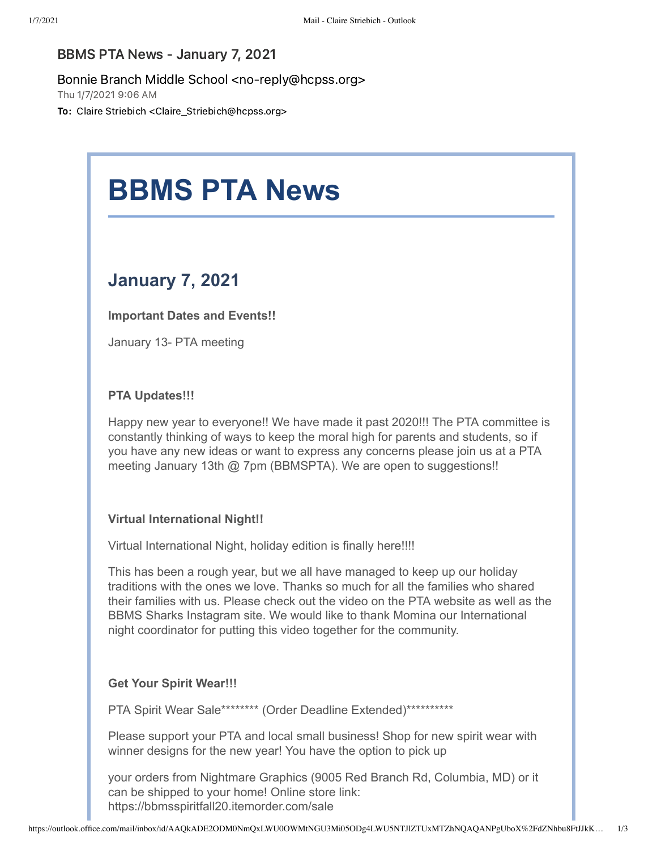### BBMS PTA News - January 7, 2021

#### Bonnie Branch Middle School <no-reply@hcpss.org>

Thu 1/7/2021 9:06 AM

To: Claire Striebich <Claire\_Striebich@hcpss.org>

# **BBMS PTA News**

## **January 7, 2021**

**Important Dates and Events!!**

January 13- PTA meeting

#### **PTA Updates!!!**

Happy new year to everyone!! We have made it past 2020!!! The PTA committee is constantly thinking of ways to keep the moral high for parents and students, so if you have any new ideas or want to express any concerns please join us at a PTA meeting January 13th @ 7pm (BBMSPTA). We are open to suggestions!!

#### **Virtual International Night!!**

Virtual International Night, holiday edition is finally here!!!!

This has been a rough year, but we all have managed to keep up our holiday traditions with the ones we love. Thanks so much for all the families who shared their families with us. Please check out the video on the PTA website as well as the BBMS Sharks Instagram site. We would like to thank Momina our International night coordinator for putting this video together for the community.

#### **Get Your Spirit Wear!!!**

PTA Spirit Wear Sale\*\*\*\*\*\*\*\* (Order Deadline Extended)\*\*\*\*\*\*\*\*\*\*\*

Please support your PTA and local small business! Shop for new spirit wear with winner designs for the new year! You have the option to pick up

your orders from Nightmare Graphics (9005 Red Branch Rd, Columbia, MD) or it can be shipped to your home! Online store link: https://bbmsspiritfall20.itemorder.com/sale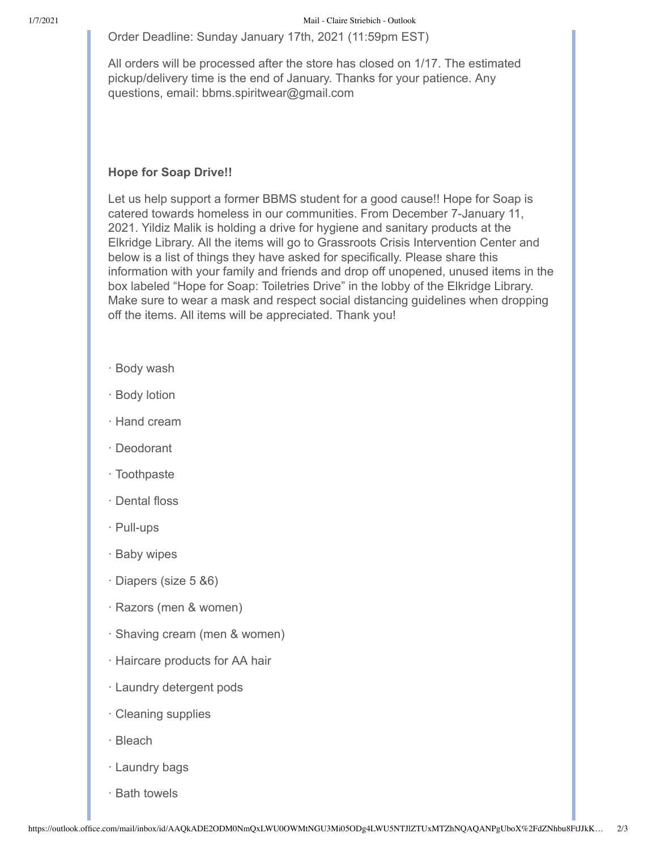Order Deadline: Sunday January 17th, 2021 (11:59pm EST)

All orders will be processed after the store has closed on 1/17. The estimated pickup/delivery time is the end of January. Thanks for your patience. Any questions, email: bbms.spiritwear@gmail.com

#### **Hope for Soap Drive!!**

Let us help support a former BBMS student for a good cause!! Hope for Soap is catered towards homeless in our communities. From December 7-January 11, 2021. Yildiz Malik is holding a drive for hygiene and sanitary products at the Elkridge Library. All the items will go to Grassroots Crisis Intervention Center and below is a list of things they have asked for specifically. Please share this information with your family and friends and drop off unopened, unused items in the box labeled "Hope for Soap: Toiletries Drive" in the lobby of the Elkridge Library. Make sure to wear a mask and respect social distancing guidelines when dropping off the items. All items will be appreciated. Thank you!

- · Body wash
- · Body lotion
- · Hand cream
- · Deodorant
- · Toothpaste
- · Dental floss
- · Pull-ups
- · Baby wipes
- · Diapers (size 5 &6)
- · Razors (men & women)
- · Shaving cream (men & women)
- · Haircare products for AA hair
- · Laundry detergent pods
- · Cleaning supplies
- · Bleach
- · Laundry bags
- · Bath towels